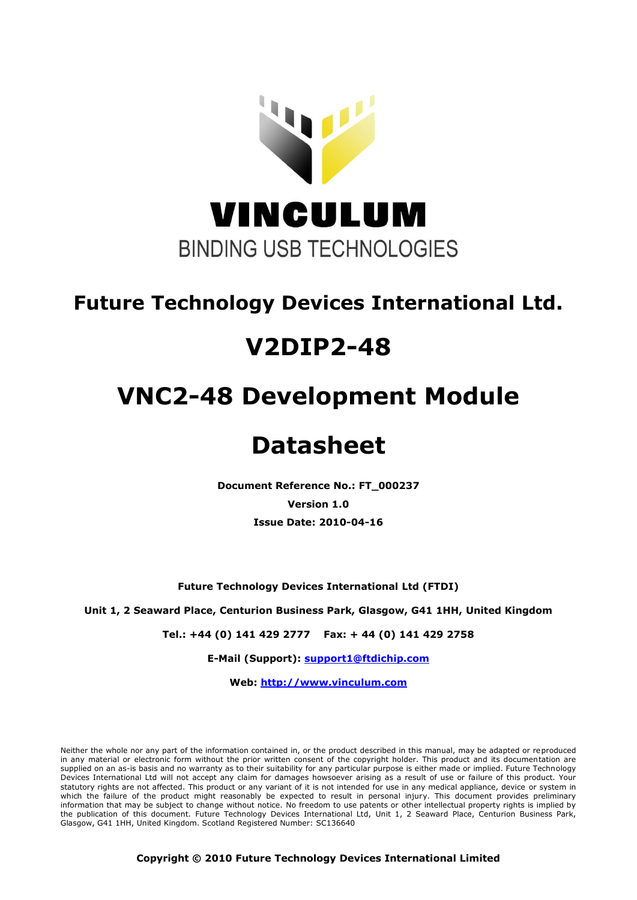

# **Future Technology Devices International Ltd.**

# **V2DIP2-48**

# **VNC2-48 Development Module**

# **Datasheet**

**Document Reference No.: FT\_000237 Version 1.0 Issue Date: 2010-04-16**

**Future Technology Devices International Ltd (FTDI)**

**Unit 1, 2 Seaward Place, Centurion Business Park, Glasgow, G41 1HH, United Kingdom**

**Tel.: +44 (0) 141 429 2777 Fax: + 44 (0) 141 429 2758**

**E-Mail (Support): support1@ftdichip.com** 

**Web: http://www.vinculum.com**

Neither the whole nor any part of the information contained in, or the product described in this manual, may be adapted or reproduced in any material or electronic form without the prior written consent of the copyright holder. This product and its documentation are supplied on an as-is basis and no warranty as to their suitability for any particular purpose is either made or implied. Future Technology Devices International Ltd will not accept any claim for damages howsoever arising as a result of use or failure of this product. Your statutory rights are not affected. This product or any variant of it is not intended for use in any medical appliance, device or system in which the failure of the product might reasonably be expected to result in personal injury. This document provides preliminary information that may be subject to change without notice. No freedom to use patents or other intellectual property rights is implied by the publication of this document. Future Technology Devices International Ltd, Unit 1, 2 Seaward Place, Centurion Business Park, Glasgow, G41 1HH, United Kingdom. Scotland Registered Number: SC136640

**Copyright © 2010 Future Technology Devices International Limited**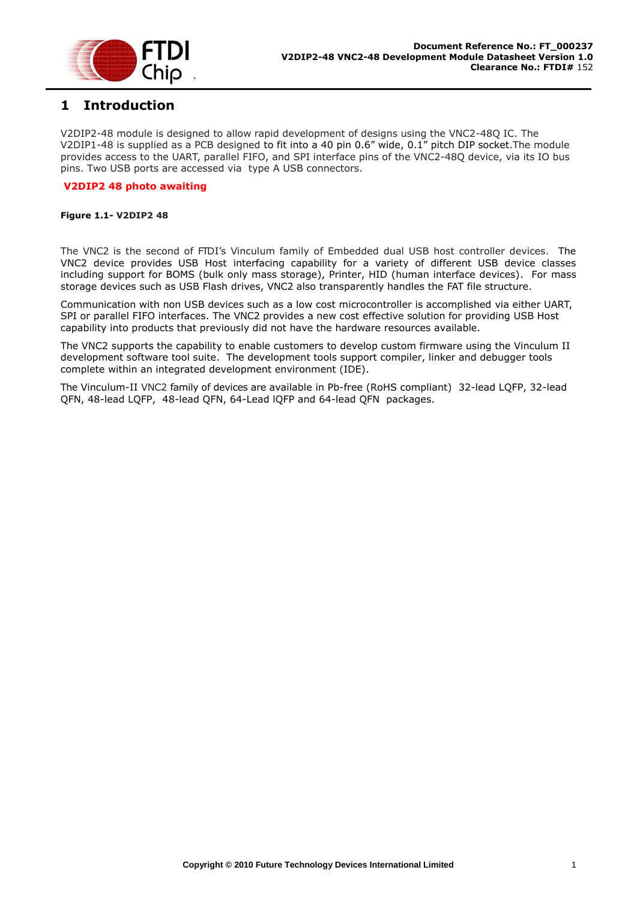

## <span id="page-1-0"></span>**1 Introduction**

V2DIP2-48 module is designed to allow rapid development of designs using the VNC2-48Q IC. The V2DIP1-48 is supplied as a PCB designed to fit into a 40 pin 0.6" wide, 0.1" pitch DIP socket.The module provides access to the UART, parallel FIFO, and SPI interface pins of the VNC2-48Q device, via its IO bus pins. Two USB ports are accessed via type A USB connectors.

#### **V2DIP2 48 photo awaiting**

#### <span id="page-1-1"></span>**Figure 1.1- V2DIP2 48**

The VNC2 is the second of FTDI's Vinculum family of Embedded dual USB host controller devices. The VNC2 device provides USB Host interfacing capability for a variety of different USB device classes including support for BOMS (bulk only mass storage), Printer, HID (human interface devices). For mass storage devices such as USB Flash drives, VNC2 also transparently handles the FAT file structure.

Communication with non USB devices such as a low cost microcontroller is accomplished via either UART, SPI or parallel FIFO interfaces. The VNC2 provides a new cost effective solution for providing USB Host capability into products that previously did not have the hardware resources available.

The VNC2 supports the capability to enable customers to develop custom firmware using the Vinculum II development software tool suite. The development tools support compiler, linker and debugger tools complete within an integrated development environment (IDE).

The Vinculum-II VNC2 family of devices are available in Pb-free (RoHS compliant) 32-lead LQFP, 32-lead QFN, 48-lead LQFP, 48-lead QFN, 64-Lead lQFP and 64-lead QFN packages.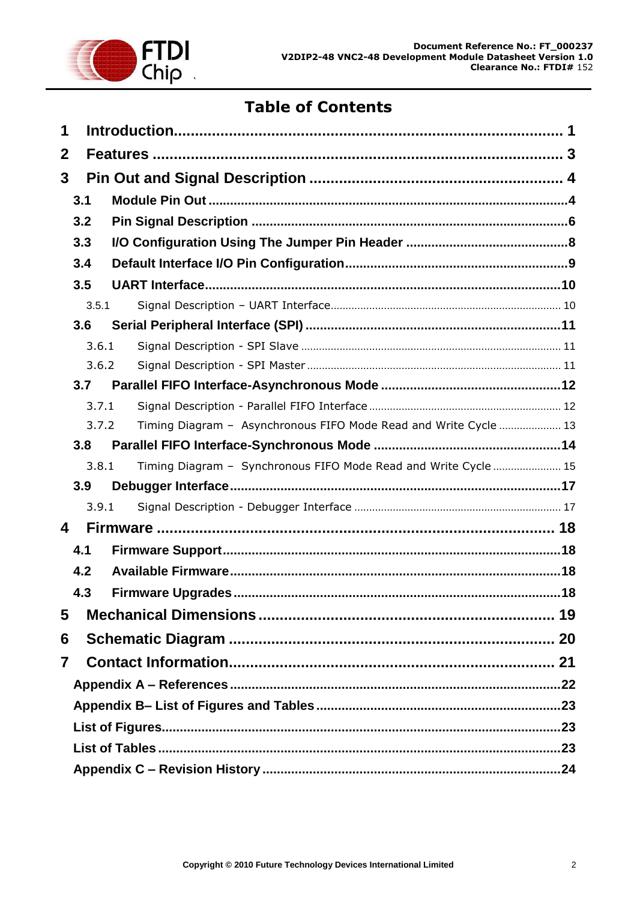

# **Table of Contents**

| 1 |       |                                                                  |  |
|---|-------|------------------------------------------------------------------|--|
| 2 |       |                                                                  |  |
| 3 |       |                                                                  |  |
|   | 3.1   |                                                                  |  |
|   | 3.2   |                                                                  |  |
|   | 3.3   |                                                                  |  |
|   | 3.4   |                                                                  |  |
|   | 3.5   |                                                                  |  |
|   | 3.5.1 |                                                                  |  |
|   | 3.6   |                                                                  |  |
|   | 3.6.1 |                                                                  |  |
|   | 3.6.2 |                                                                  |  |
|   | 3.7   |                                                                  |  |
|   | 3.7.1 |                                                                  |  |
|   | 3.7.2 | Timing Diagram - Asynchronous FIFO Mode Read and Write Cycle  13 |  |
|   | 3.8   |                                                                  |  |
|   | 3.8.1 | Timing Diagram - Synchronous FIFO Mode Read and Write Cycle  15  |  |
|   | 3.9   |                                                                  |  |
|   | 3.9.1 |                                                                  |  |
| 4 |       |                                                                  |  |
|   | 4.1   |                                                                  |  |
|   | 4.2   |                                                                  |  |
|   | 4.3   |                                                                  |  |
| 5 |       |                                                                  |  |
| 6 |       |                                                                  |  |
| 7 |       |                                                                  |  |
|   |       |                                                                  |  |
|   |       |                                                                  |  |
|   |       |                                                                  |  |
|   |       |                                                                  |  |
|   |       |                                                                  |  |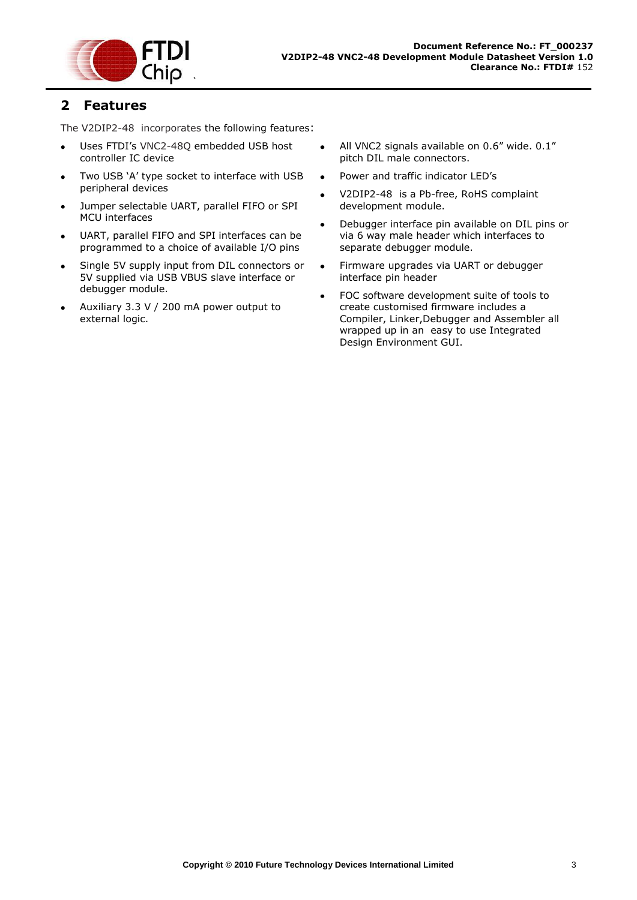

## <span id="page-3-0"></span>**2 Features**

The V2DIP2-48 incorporates the following features:

- Uses FTDI's VNC2-48Q embedded USB host  $\bullet$ controller IC device
- Two USB 'A' type socket to interface with USB peripheral devices
- Jumper selectable UART, parallel FIFO or SPI MCU interfaces
- UART, parallel FIFO and SPI interfaces can be programmed to a choice of available I/O pins
- Single 5V supply input from DIL connectors or 5V supplied via USB VBUS slave interface or debugger module.
- Auxiliary 3.3 V / 200 mA power output to external logic.
- All VNC2 signals available on 0.6" wide. 0.1" pitch DIL male connectors.
- Power and traffic indicator LED's
- V2DIP2-48 is a Pb-free, RoHS complaint development module.
- Debugger interface pin available on DIL pins or  $\bullet$ via 6 way male header which interfaces to separate debugger module.
- Firmware upgrades via UART or debugger  $\bullet$ interface pin header
- FOC software development suite of tools to  $\bullet$ create customised firmware includes a Compiler, Linker,Debugger and Assembler all wrapped up in an easy to use Integrated Design Environment GUI.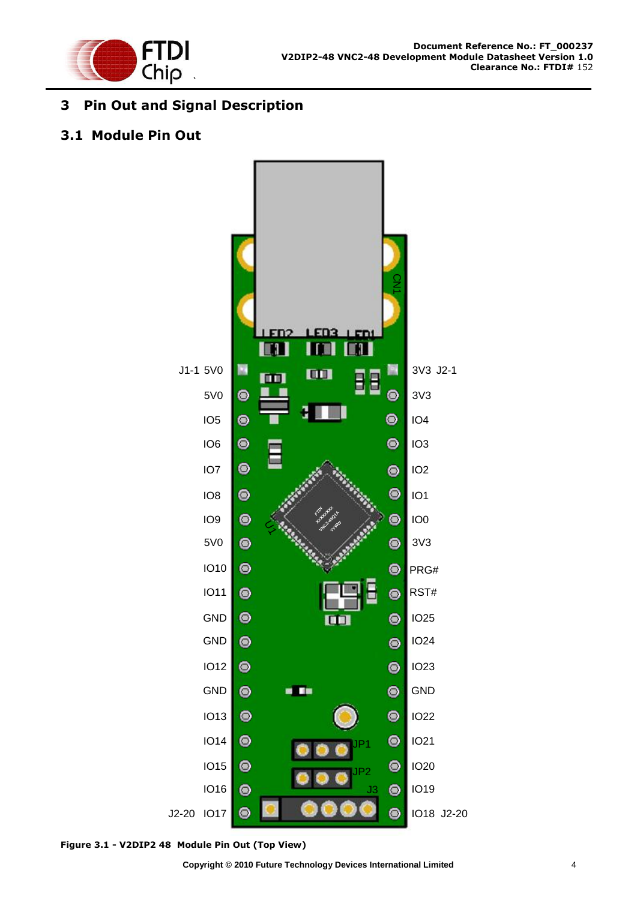

# <span id="page-4-0"></span>**3 Pin Out and Signal Description**

## <span id="page-4-1"></span>**3.1 Module Pin Out**



<span id="page-4-2"></span>**Figure 3.1 - V2DIP2 48 Module Pin Out (Top View)**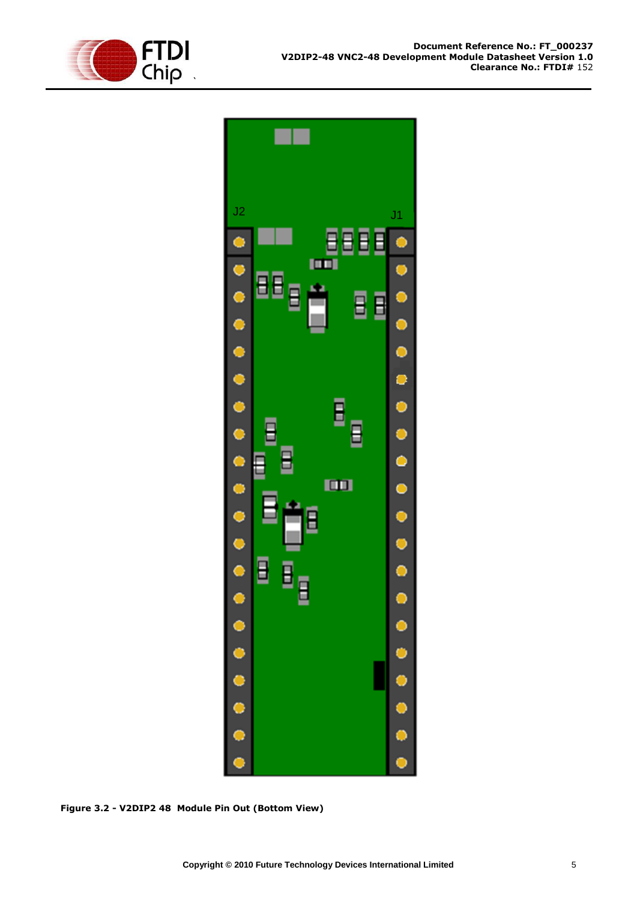



<span id="page-5-0"></span>**Figure 3.2 - V2DIP2 48 Module Pin Out (Bottom View)**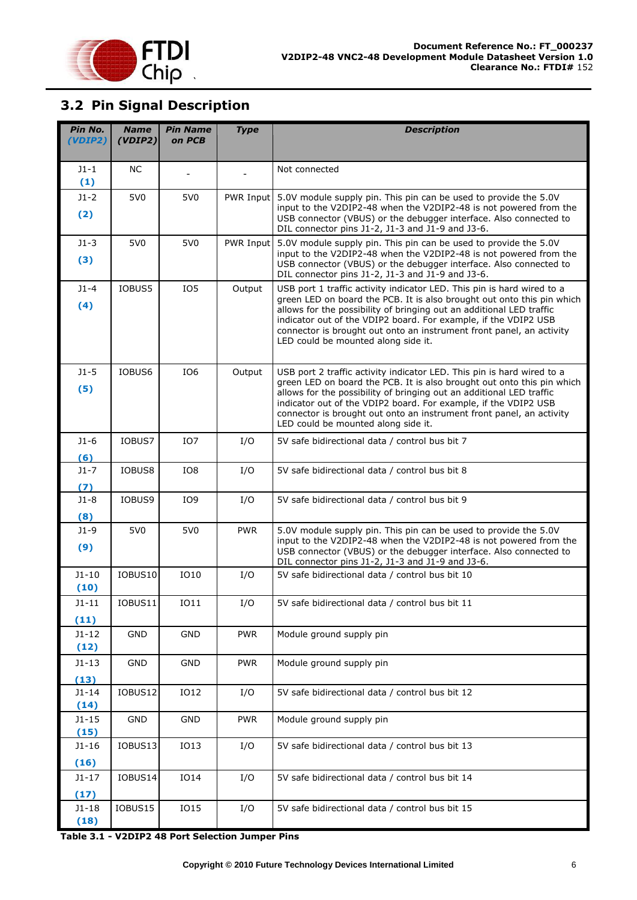

# <span id="page-6-0"></span>**3.2 Pin Signal Description**

| Pin No.<br>(VDIP2) | <b>Name</b><br>(VDIP2) | <b>Pin Name</b><br>on PCB | <b>Type</b> | <b>Description</b>                                                                                                                                                                                                                                                                                                                                                                                                                                           |  |  |  |
|--------------------|------------------------|---------------------------|-------------|--------------------------------------------------------------------------------------------------------------------------------------------------------------------------------------------------------------------------------------------------------------------------------------------------------------------------------------------------------------------------------------------------------------------------------------------------------------|--|--|--|
|                    |                        |                           |             |                                                                                                                                                                                                                                                                                                                                                                                                                                                              |  |  |  |
| $J1 - 1$<br>(1)    | <b>NC</b>              |                           |             | Not connected                                                                                                                                                                                                                                                                                                                                                                                                                                                |  |  |  |
| $J1-2$<br>(2)      | 5V <sub>0</sub>        | 5V <sub>0</sub>           | PWR Input   | 5.0V module supply pin. This pin can be used to provide the 5.0V<br>input to the V2DIP2-48 when the V2DIP2-48 is not powered from the<br>USB connector (VBUS) or the debugger interface. Also connected to                                                                                                                                                                                                                                                   |  |  |  |
|                    |                        |                           |             | DIL connector pins J1-2, J1-3 and J1-9 and J3-6.                                                                                                                                                                                                                                                                                                                                                                                                             |  |  |  |
| $J1-3$<br>(3)      | 5V <sub>0</sub>        | 5V <sub>0</sub>           | PWR Input   | 5.0V module supply pin. This pin can be used to provide the 5.0V<br>input to the V2DIP2-48 when the V2DIP2-48 is not powered from the<br>USB connector (VBUS) or the debugger interface. Also connected to<br>DIL connector pins J1-2, J1-3 and J1-9 and J3-6.                                                                                                                                                                                               |  |  |  |
| $J1 - 4$<br>(4)    | IOBUS5                 | IO <sub>5</sub>           | Output      | USB port 1 traffic activity indicator LED. This pin is hard wired to a<br>green LED on board the PCB. It is also brought out onto this pin which<br>allows for the possibility of bringing out an additional LED traffic<br>indicator out of the VDIP2 board. For example, if the VDIP2 USB<br>connector is brought out onto an instrument front panel, an activity<br>LED could be mounted along side it.                                                   |  |  |  |
| $J1-5$<br>(5)      | IOBUS6                 | IO <sub>6</sub>           | Output      | USB port 2 traffic activity indicator LED. This pin is hard wired to a<br>green LED on board the PCB. It is also brought out onto this pin which<br>allows for the possibility of bringing out an additional LED traffic<br>indicator out of the VDIP2 board. For example, if the VDIP2 USB<br>connector is brought out onto an instrument front panel, an activity<br>LED could be mounted along side it.<br>5V safe bidirectional data / control bus bit 7 |  |  |  |
| $J1-6$<br>(6)      | IOBUS7                 | IO <sub>7</sub>           | I/O         |                                                                                                                                                                                                                                                                                                                                                                                                                                                              |  |  |  |
| $J1 - 7$<br>(7)    | IOBUS8                 | IO8                       | I/O         | 5V safe bidirectional data / control bus bit 8                                                                                                                                                                                                                                                                                                                                                                                                               |  |  |  |
| $J1-8$<br>(8)      | IOBUS9                 | IO9                       | I/O         | 5V safe bidirectional data / control bus bit 9                                                                                                                                                                                                                                                                                                                                                                                                               |  |  |  |
| $J1-9$<br>(9)      | 5V <sub>0</sub>        | 5V <sub>0</sub>           | <b>PWR</b>  | 5.0V module supply pin. This pin can be used to provide the 5.0V<br>input to the V2DIP2-48 when the V2DIP2-48 is not powered from the<br>USB connector (VBUS) or the debugger interface. Also connected to<br>DIL connector pins J1-2, J1-3 and J1-9 and J3-6.                                                                                                                                                                                               |  |  |  |
| $J1 - 10$<br>(10)  | IOBUS10                | IO10                      | I/O         | 5V safe bidirectional data / control bus bit 10                                                                                                                                                                                                                                                                                                                                                                                                              |  |  |  |
| J1-11<br>(11)      | IOBUS11                | IO11                      | I/O         | 5V safe bidirectional data / control bus bit 11                                                                                                                                                                                                                                                                                                                                                                                                              |  |  |  |
| $J1-12$<br>(12)    | GND                    | <b>GND</b>                | <b>PWR</b>  | Module ground supply pin                                                                                                                                                                                                                                                                                                                                                                                                                                     |  |  |  |
| $J1-13$<br>(13)    | GND                    | GND                       | <b>PWR</b>  | Module ground supply pin                                                                                                                                                                                                                                                                                                                                                                                                                                     |  |  |  |
| $J1 - 14$<br>(14)  | IOBUS12                | IO12                      | I/O         | 5V safe bidirectional data / control bus bit 12                                                                                                                                                                                                                                                                                                                                                                                                              |  |  |  |
| $J1 - 15$<br>(15)  | GND                    | GND                       | <b>PWR</b>  | Module ground supply pin                                                                                                                                                                                                                                                                                                                                                                                                                                     |  |  |  |
| $J1-16$<br>(16)    | IOBUS13                | IO13                      | I/O         | 5V safe bidirectional data / control bus bit 13                                                                                                                                                                                                                                                                                                                                                                                                              |  |  |  |
| $J1-17$<br>(17)    | IOBUS14                | <b>IO14</b>               | I/O         | 5V safe bidirectional data / control bus bit 14                                                                                                                                                                                                                                                                                                                                                                                                              |  |  |  |
| $J1-18$<br>(18)    | IOBUS15                | IO15                      | I/O         | 5V safe bidirectional data / control bus bit 15                                                                                                                                                                                                                                                                                                                                                                                                              |  |  |  |

<span id="page-6-1"></span>**Table 3.1 - V2DIP2 48 Port Selection Jumper Pins**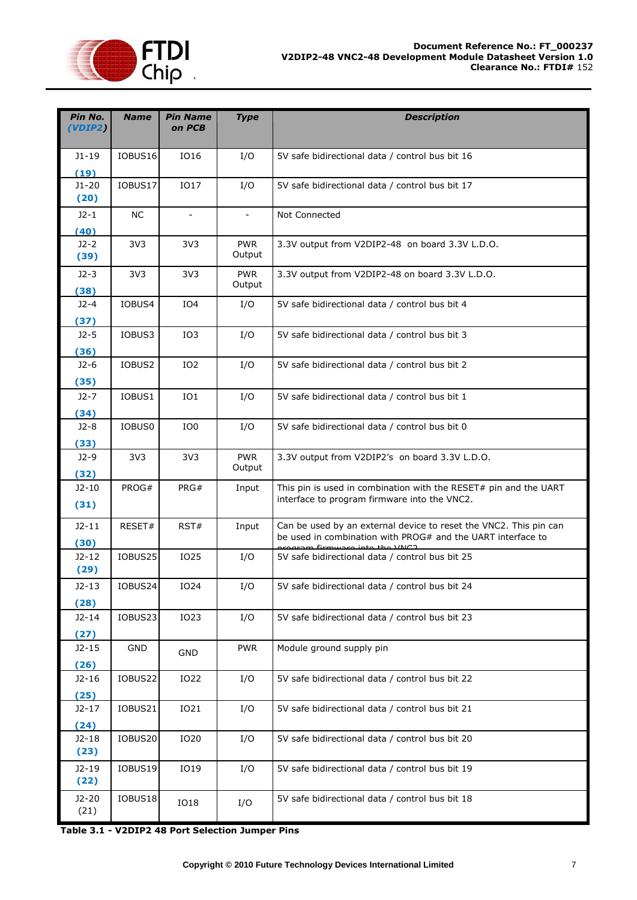

| Pin No.<br>(VDIP2)      | <b>Name</b>     | <b>Pin Name</b><br>on PCB | <b>Type</b>              | <b>Description</b>                                                                                                                                               |  |  |
|-------------------------|-----------------|---------------------------|--------------------------|------------------------------------------------------------------------------------------------------------------------------------------------------------------|--|--|
| $J1-19$<br>(19)         | IOBUS16         | IO16                      | I/O                      | 5V safe bidirectional data / control bus bit 16                                                                                                                  |  |  |
| $J1-20$<br>(20)         | IOBUS17         | <b>IO17</b>               | I/O                      | 5V safe bidirectional data / control bus bit 17                                                                                                                  |  |  |
| $J2 - 1$<br>(40)        | <b>NC</b>       | $\overline{\phantom{a}}$  | $\overline{\phantom{a}}$ | Not Connected                                                                                                                                                    |  |  |
| $J2-2$<br>(39)          | 3V <sub>3</sub> | 3V <sub>3</sub>           | <b>PWR</b><br>Output     | 3.3V output from V2DIP2-48 on board 3.3V L.D.O.                                                                                                                  |  |  |
| $J2-3$<br>(38)          | 3V <sub>3</sub> | 3V <sub>3</sub>           | <b>PWR</b><br>Output     | 3.3V output from V2DIP2-48 on board 3.3V L.D.O.                                                                                                                  |  |  |
| $J2 - 4$                | IOBUS4          | IO <sub>4</sub>           | I/O                      | 5V safe bidirectional data / control bus bit 4                                                                                                                   |  |  |
| (37)<br>$J2-5$          | IOBUS3          | IO <sub>3</sub>           | I/O                      | 5V safe bidirectional data / control bus bit 3                                                                                                                   |  |  |
| (36)<br>$J2-6$          | IOBUS2          | IO <sub>2</sub>           | I/O                      | 5V safe bidirectional data / control bus bit 2                                                                                                                   |  |  |
| (35)<br>$J2-7$          | IOBUS1          | IO1                       | I/O                      | 5V safe bidirectional data / control bus bit 1                                                                                                                   |  |  |
| (34)<br>$J2-8$          | IOBUS0          | IO <sub>0</sub>           | I/O                      | 5V safe bidirectional data / control bus bit 0                                                                                                                   |  |  |
| (33)<br>$J2-9$          | 3V <sub>3</sub> | 3V <sub>3</sub>           | <b>PWR</b><br>Output     | 3.3V output from V2DIP2's on board 3.3V L.D.O.                                                                                                                   |  |  |
| (32)<br>$J2-10$         | PROG#           | PRG#                      | Input                    | This pin is used in combination with the RESET# pin and the UART                                                                                                 |  |  |
| (31)                    |                 |                           |                          | interface to program firmware into the VNC2.                                                                                                                     |  |  |
| $J2-11$<br>(30)         | RESET#          | RST#                      | Input                    | Can be used by an external device to reset the VNC2. This pin can<br>be used in combination with PROG# and the UART interface to<br>caram firmware into the VNC2 |  |  |
| $J2-12$<br>(29)         | IOBUS25         | <b>IO25</b>               | I/O                      | 5V safe bidirectional data / control bus bit 25                                                                                                                  |  |  |
| $J2-13$<br>(28)         | IOBUS24         | IO24                      | I/O                      | 5V safe bidirectional data / control bus bit 24                                                                                                                  |  |  |
| $J2-14$<br>(27)         | IOBUS23         | IO23                      | I/O                      | 5V safe bidirectional data / control bus bit 23                                                                                                                  |  |  |
| $J2-15$<br>(26)         | GND             | <b>GND</b>                | <b>PWR</b>               | Module ground supply pin                                                                                                                                         |  |  |
| $J2-16$<br>(25)         | IOBUS22         | IO22                      | I/O                      | 5V safe bidirectional data / control bus bit 22                                                                                                                  |  |  |
| $J2-17$                 | IOBUS21         | IO21                      | I/O                      | 5V safe bidirectional data / control bus bit 21                                                                                                                  |  |  |
| (24)<br>$J2-18$<br>(23) | IOBUS20         | IO20                      | I/O                      | 5V safe bidirectional data / control bus bit 20                                                                                                                  |  |  |
| $J2-19$<br>(22)         | IOBUS19         | IO19                      | I/O                      | 5V safe bidirectional data / control bus bit 19                                                                                                                  |  |  |
| $J2-20$<br>(21)         | IOBUS18         | <b>IO18</b>               | I/O                      | 5V safe bidirectional data / control bus bit 18                                                                                                                  |  |  |

**Table 3.1 - V2DIP2 48 Port Selection Jumper Pins**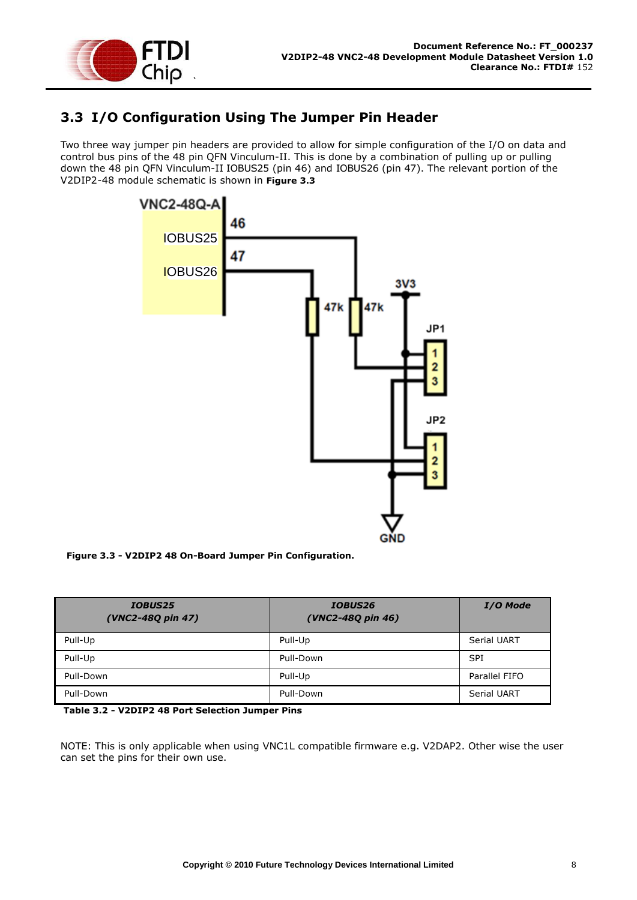

## <span id="page-8-0"></span>**3.3 I/O Configuration Using The Jumper Pin Header**

Two three way jumper pin headers are provided to allow for simple configuration of the I/O on data and control bus pins of the 48 pin QFN Vinculum-II. This is done by a combination of pulling up or pulling down the 48 pin QFN Vinculum-II IOBUS25 (pin 46) and IOBUS26 (pin 47). The relevant portion of the V2DIP2-48 module schematic is shown in **[Figure 3.3](#page-8-1)**



<span id="page-8-1"></span> **Figure 3.3 - V2DIP2 48 On-Board Jumper Pin Configuration.**

| <b>IOBUS25</b><br>(VNC2-48Q pin 47) | <b>IOBUS26</b><br>(VNC2-48Q pin 46) | <b>I/O Mode</b>    |
|-------------------------------------|-------------------------------------|--------------------|
| Pull-Up                             | Pull-Up                             | <b>Serial UART</b> |
| Pull-Up                             | Pull-Down                           | <b>SPI</b>         |
| Pull-Down                           | Pull-Up                             | Parallel FIFO      |
| Pull-Down                           | Pull-Down                           | Serial UART        |

<span id="page-8-2"></span>**Table 3.2 - V2DIP2 48 Port Selection Jumper Pins**

NOTE: This is only applicable when using VNC1L compatible firmware e.g. V2DAP2. Other wise the user can set the pins for their own use.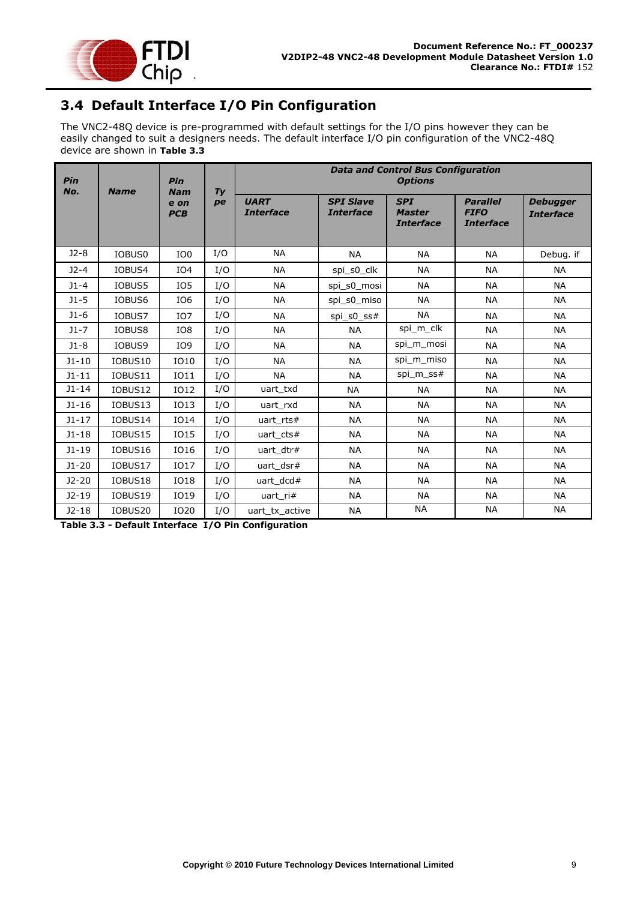

# <span id="page-9-0"></span>**3.4 Default Interface I/O Pin Configuration**

The VNC2-48Q device is pre-programmed with default settings for the I/O pins however they can be easily changed to suit a designers needs. The default interface I/O pin configuration of the VNC2-48Q device are shown in **[Table 3.3](#page-9-1)**

| Pin<br>No. | <b>Name</b> | Pin<br><b>Nam</b>  |          | <b>Data and Control Bus Configuration</b><br><b>Options</b> |                                      |                                                 |                                                    |                                     |
|------------|-------------|--------------------|----------|-------------------------------------------------------------|--------------------------------------|-------------------------------------------------|----------------------------------------------------|-------------------------------------|
|            |             | e on<br><b>PCB</b> | Ty<br>pe | <b>UART</b><br><b>Interface</b>                             | <b>SPI Slave</b><br><b>Interface</b> | <b>SPI</b><br><b>Master</b><br><b>Interface</b> | <b>Parallel</b><br><b>FIFO</b><br><b>Interface</b> | <b>Debugger</b><br><b>Interface</b> |
| $J2-8$     | IOBUS0      | IO <sub>0</sub>    | I/O      | <b>NA</b>                                                   | <b>NA</b>                            | <b>NA</b>                                       | <b>NA</b>                                          | Debug. if                           |
| $J2-4$     | IOBUS4      | IO <sub>4</sub>    | I/O      | <b>NA</b>                                                   | spi_s0_clk                           | <b>NA</b>                                       | <b>NA</b>                                          | <b>NA</b>                           |
| $J1 - 4$   | IOBUS5      | IO <sub>5</sub>    | I/O      | <b>NA</b>                                                   | spi_s0_mosi                          | <b>NA</b>                                       | <b>NA</b>                                          | <b>NA</b>                           |
| $J1 - 5$   | IOBUS6      | IO <sub>6</sub>    | I/O      | <b>NA</b>                                                   | spi s0 miso                          | <b>NA</b>                                       | <b>NA</b>                                          | <b>NA</b>                           |
| $J1-6$     | IOBUS7      | IO <sub>7</sub>    | I/O      | <b>NA</b>                                                   | spi s0 $ss#$                         | <b>NA</b>                                       | <b>NA</b>                                          | <b>NA</b>                           |
| $J1-7$     | IOBUS8      | IO8                | I/O      | <b>NA</b>                                                   | <b>NA</b>                            | spi_m_clk                                       | NА                                                 | ΝA                                  |
| $J1-8$     | IOBUS9      | IO9                | I/O      | <b>NA</b>                                                   | <b>NA</b>                            | spi m mosi                                      | <b>NA</b>                                          | <b>NA</b>                           |
| $J1 - 10$  | IOBUS10     | IO10               | I/O      | <b>NA</b>                                                   | <b>NA</b>                            | spi m miso                                      | <b>NA</b>                                          | <b>NA</b>                           |
| $J1 - 11$  | IOBUS11     | <b>IO11</b>        | I/O      | <b>NA</b>                                                   | <b>NA</b>                            | spi m ss#                                       | <b>NA</b>                                          | <b>NA</b>                           |
| $J1 - 14$  | IOBUS12     | <b>IO12</b>        | I/O      | uart txd                                                    | <b>NA</b>                            | <b>NA</b>                                       | <b>NA</b>                                          | <b>NA</b>                           |
| $J1 - 16$  | IOBUS13     | <b>IO13</b>        | I/O      | uart rxd                                                    | <b>NA</b>                            | <b>NA</b>                                       | <b>NA</b>                                          | <b>NA</b>                           |
| $J1 - 17$  | IOBUS14     | <b>IO14</b>        | I/O      | uart $rts#$                                                 | <b>NA</b>                            | <b>NA</b>                                       | <b>NA</b>                                          | <b>NA</b>                           |
| $J1-18$    | IOBUS15     | <b>IO15</b>        | I/O      | uart cts#                                                   | <b>NA</b>                            | <b>NA</b>                                       | <b>NA</b>                                          | <b>NA</b>                           |
| $J1-19$    | IOBUS16     | IO16               | I/O      | uart dtr#                                                   | <b>NA</b>                            | <b>NA</b>                                       | NА                                                 | <b>NA</b>                           |
| $J1-20$    | IOBUS17     | <b>IO17</b>        | I/O      | uart_dsr#                                                   | <b>NA</b>                            | <b>NA</b>                                       | <b>NA</b>                                          | <b>NA</b>                           |
| $J2-20$    | IOBUS18     | <b>IO18</b>        | I/O      | uart $dcd#$                                                 | <b>NA</b>                            | <b>NA</b>                                       | <b>NA</b>                                          | <b>NA</b>                           |
| $J2-19$    | IOBUS19     | IO19               | I/O      | uart_ri#                                                    | <b>NA</b>                            | <b>NA</b>                                       | <b>NA</b>                                          | <b>NA</b>                           |
| $J2-18$    | IOBUS20     | IO20               | I/O      | uart tx active                                              | <b>NA</b>                            | <b>NA</b>                                       | <b>NA</b>                                          | <b>NA</b>                           |

<span id="page-9-1"></span>**Table 3.3 - Default Interface I/O Pin Configuration**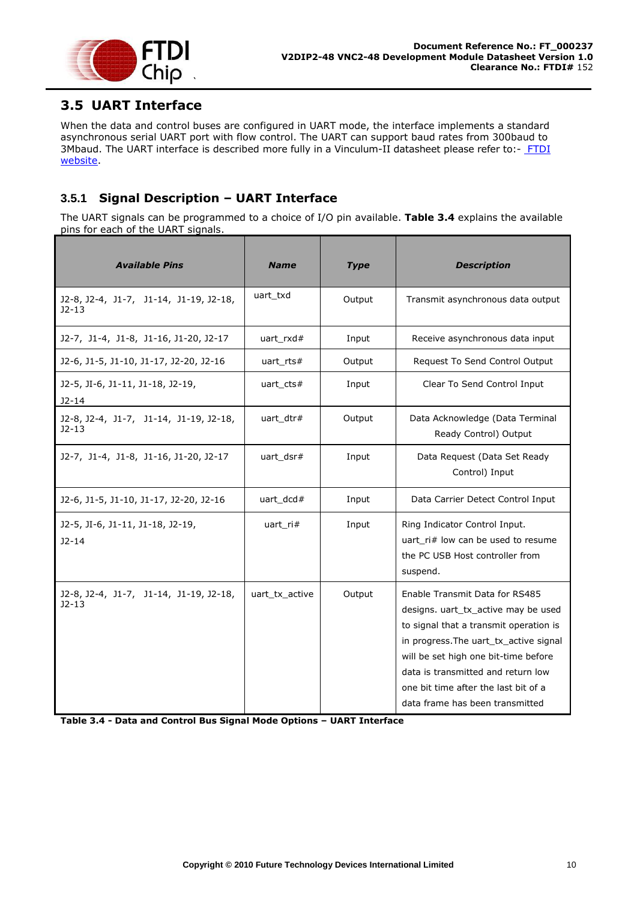

# <span id="page-10-0"></span>**3.5 UART Interface**

When the data and control buses are configured in UART mode, the interface implements a standard asynchronous serial UART port with flow control. The UART can support baud rates from 300baud to 3Mbaud. The UART interface is described more fully in a Vinculum-II datasheet please refer to:- [FTDI](http://www.ftdichip.com/)  [website.](http://www.ftdichip.com/)

#### <span id="page-10-1"></span>**3.5.1 Signal Description – UART Interface**

The UART signals can be programmed to a choice of I/O pin available. **[Table 3.4](#page-10-2)** explains the available pins for each of the UART signals.

| <b>Available Pins</b>                               | <b>Name</b>    | <b>Type</b> | <b>Description</b>                                                                                                                                                                                                                                                                                                 |
|-----------------------------------------------------|----------------|-------------|--------------------------------------------------------------------------------------------------------------------------------------------------------------------------------------------------------------------------------------------------------------------------------------------------------------------|
| J2-8, J2-4, J1-7, J1-14, J1-19, J2-18,<br>$J2 - 13$ | uart txd       | Output      | Transmit asynchronous data output                                                                                                                                                                                                                                                                                  |
| J2-7, J1-4, J1-8, J1-16, J1-20, J2-17               | uart $rxd#$    | Input       | Receive asynchronous data input                                                                                                                                                                                                                                                                                    |
| J2-6, J1-5, J1-10, J1-17, J2-20, J2-16              | uart $rts#$    | Output      | Request To Send Control Output                                                                                                                                                                                                                                                                                     |
| J2-5, JI-6, J1-11, J1-18, J2-19,<br>$J2-14$         | uart cts#      | Input       | Clear To Send Control Input                                                                                                                                                                                                                                                                                        |
| J2-8, J2-4, J1-7, J1-14, J1-19, J2-18,<br>$J2-13$   | uart dtr#      | Output      | Data Acknowledge (Data Terminal<br>Ready Control) Output                                                                                                                                                                                                                                                           |
| J2-7, J1-4, J1-8, J1-16, J1-20, J2-17               | uart_dsr#      | Input       | Data Request (Data Set Ready<br>Control) Input                                                                                                                                                                                                                                                                     |
| J2-6, J1-5, J1-10, J1-17, J2-20, J2-16              | uart_dcd#      | Input       | Data Carrier Detect Control Input                                                                                                                                                                                                                                                                                  |
| J2-5, JI-6, J1-11, J1-18, J2-19,<br>$J2-14$         | uart $ri#$     | Input       | Ring Indicator Control Input.<br>uart_ri# low can be used to resume<br>the PC USB Host controller from<br>suspend.                                                                                                                                                                                                 |
| J2-8, J2-4, J1-7, J1-14, J1-19, J2-18,<br>$12 - 13$ | uart tx active | Output      | Enable Transmit Data for RS485<br>designs, uart tx active may be used<br>to signal that a transmit operation is<br>in progress. The uart_tx_active signal<br>will be set high one bit-time before<br>data is transmitted and return low<br>one bit time after the last bit of a<br>data frame has been transmitted |

<span id="page-10-2"></span>**Table 3.4 - Data and Control Bus Signal Mode Options – UART Interface**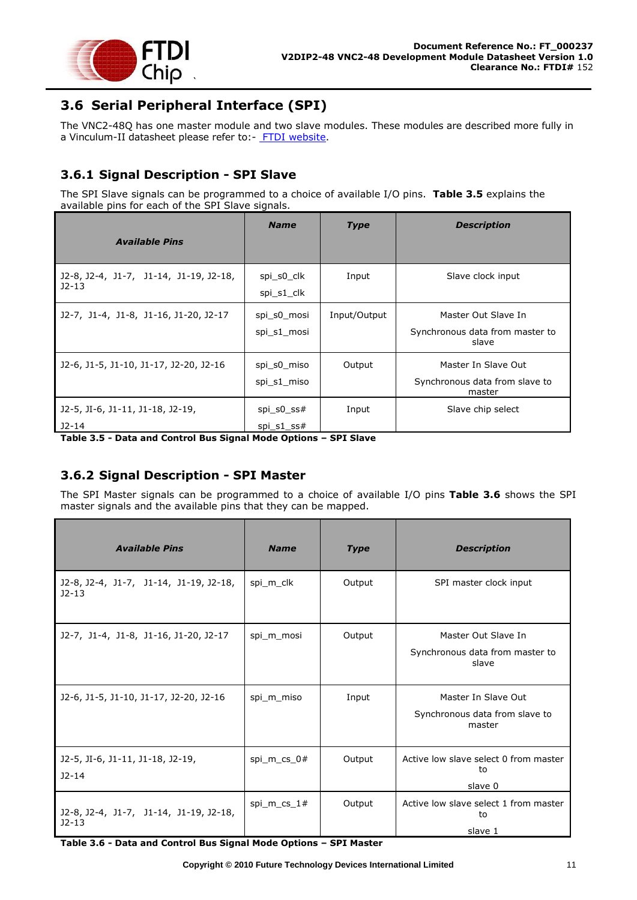

# <span id="page-11-0"></span>**3.6 Serial Peripheral Interface (SPI)**

The VNC2-48Q has one master module and two slave modules. These modules are described more fully in a Vinculum-II datasheet please refer to:- [FTDI website.](http://www.ftdichip.com/)

### <span id="page-11-1"></span>**3.6.1 Signal Description - SPI Slave**

The SPI Slave signals can be programmed to a choice of available I/O pins. **[Table 3.5](#page-11-3)** explains the available pins for each of the SPI Slave signals.

|                                                   | <b>Name</b>                   | <b>Type</b>  | <b>Description</b>                                              |
|---------------------------------------------------|-------------------------------|--------------|-----------------------------------------------------------------|
| <b>Available Pins</b>                             |                               |              |                                                                 |
| J2-8, J2-4, J1-7, J1-14, J1-19, J2-18,<br>$J2-13$ | spi s0 clk<br>spi s1 clk      | Input        | Slave clock input                                               |
| J2-7, J1-4, J1-8, J1-16, J1-20, J2-17             | spi s0 mosi<br>spi s1 mosi    | Input/Output | Master Out Slave In<br>Synchronous data from master to<br>slave |
| J2-6, J1-5, J1-10, J1-17, J2-20, J2-16            | spi s0 miso<br>spi s1 miso    | Output       | Master In Slave Out<br>Synchronous data from slave to<br>master |
| J2-5, JI-6, J1-11, J1-18, J2-19,<br>$J2 - 14$     | spi s0 $ss#$<br>$spi_s1$ _ss# | Input        | Slave chip select                                               |

<span id="page-11-3"></span>**Table 3.5 - Data and Control Bus Signal Mode Options – SPI Slave** 

#### <span id="page-11-2"></span>**3.6.2 Signal Description - SPI Master**

The SPI Master signals can be programmed to a choice of available I/O pins **[Table 3.6](#page-11-4)** shows the SPI master signals and the available pins that they can be mapped.

| <b>Available Pins</b>                             | <b>Name</b>   | <b>Type</b> | <b>Description</b>                                              |
|---------------------------------------------------|---------------|-------------|-----------------------------------------------------------------|
| J2-8, J2-4, J1-7, J1-14, J1-19, J2-18,<br>$J2-13$ | spi m clk     | Output      | SPI master clock input                                          |
| J2-7, J1-4, J1-8, J1-16, J1-20, J2-17             | spi m mosi    | Output      | Master Out Slave In<br>Synchronous data from master to<br>slave |
| J2-6, J1-5, J1-10, J1-17, J2-20, J2-16            | spi m miso    | Input       | Master In Slave Out<br>Synchronous data from slave to<br>master |
| J2-5, JI-6, J1-11, J1-18, J2-19,<br>$J2 - 14$     | spi m cs $0#$ | Output      | Active low slave select 0 from master<br>t٥<br>slave 0          |
| J2-8, J2-4, J1-7, J1-14, J1-19, J2-18,<br>$J2-13$ | spi m cs $1#$ | Output      | Active low slave select 1 from master<br>to<br>slave 1          |

<span id="page-11-4"></span>**Table 3.6 - Data and Control Bus Signal Mode Options – SPI Master**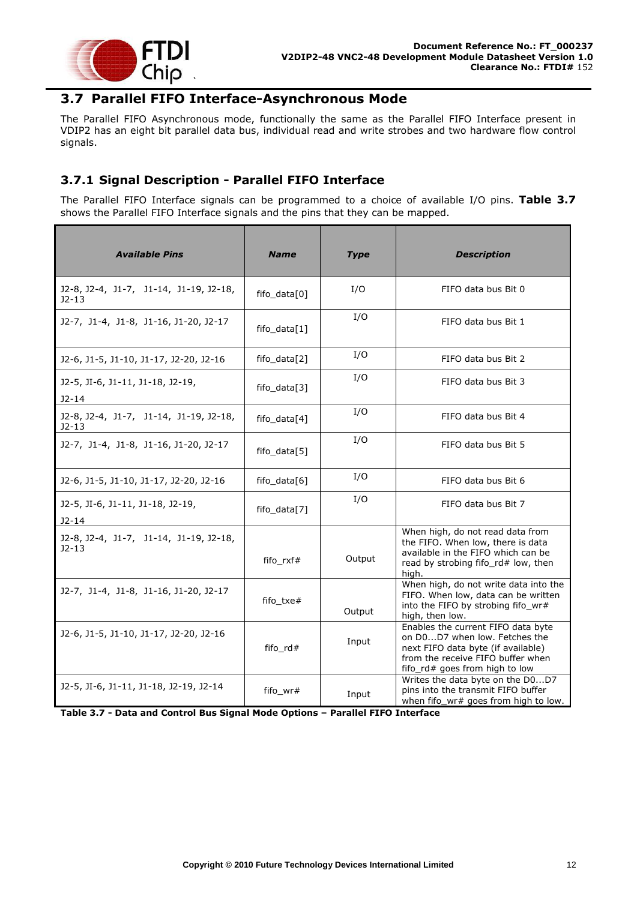

### <span id="page-12-0"></span>**3.7 Parallel FIFO Interface-Asynchronous Mode**

The Parallel FIFO Asynchronous mode, functionally the same as the Parallel FIFO Interface present in VDIP2 has an eight bit parallel data bus, individual read and write strobes and two hardware flow control signals.

#### <span id="page-12-1"></span>**3.7.1 Signal Description - Parallel FIFO Interface**

The Parallel FIFO Interface signals can be programmed to a choice of available I/O pins. **[Table 3.7](#page-12-2)** shows the Parallel FIFO Interface signals and the pins that they can be mapped.

| <b>Available Pins</b>                             | <b>Name</b>    | <b>Type</b> | <b>Description</b>                                                                                                                                                               |
|---------------------------------------------------|----------------|-------------|----------------------------------------------------------------------------------------------------------------------------------------------------------------------------------|
| J2-8, J2-4, J1-7, J1-14, J1-19, J2-18,<br>$J2-13$ | fifo_data[0]   | I/O         | FIFO data bus Bit 0                                                                                                                                                              |
| J2-7, J1-4, J1-8, J1-16, J1-20, J2-17             | fifo $data[1]$ | I/O         | FIFO data bus Bit 1                                                                                                                                                              |
| J2-6, J1-5, J1-10, J1-17, J2-20, J2-16            | fifo_data[2]   | I/O         | FIFO data bus Bit 2                                                                                                                                                              |
| J2-5, JI-6, J1-11, J1-18, J2-19,<br>$J2-14$       | fifo_data[3]   | I/O         | FIFO data bus Bit 3                                                                                                                                                              |
| J2-8, J2-4, J1-7, J1-14, J1-19, J2-18,<br>J2-13   | fifo_data[4]   | I/O         | FIFO data bus Bit 4                                                                                                                                                              |
| J2-7, J1-4, J1-8, J1-16, J1-20, J2-17             | fifo_data[5]   | I/O         | FIFO data bus Bit 5                                                                                                                                                              |
| J2-6, J1-5, J1-10, J1-17, J2-20, J2-16            | fifo_data[6]   | I/O         | FIFO data bus Bit 6                                                                                                                                                              |
| J2-5, JI-6, J1-11, J1-18, J2-19,<br>$J2-14$       | fifo_data[7]   | I/O         | FIFO data bus Bit 7                                                                                                                                                              |
| J2-8, J2-4, J1-7, J1-14, J1-19, J2-18,<br>$J2-13$ | fifo_rxf#      | Output      | When high, do not read data from<br>the FIFO. When low, there is data<br>available in the FIFO which can be<br>read by strobing fifo_rd# low, then<br>high.                      |
| J2-7, J1-4, J1-8, J1-16, J1-20, J2-17             | fifo_txe#      | Output      | When high, do not write data into the<br>FIFO. When low, data can be written<br>into the FIFO by strobing fifo_wr#<br>high, then low.                                            |
| J2-6, J1-5, J1-10, J1-17, J2-20, J2-16            | fifo_rd#       | Input       | Enables the current FIFO data byte<br>on D0D7 when low. Fetches the<br>next FIFO data byte (if available)<br>from the receive FIFO buffer when<br>fifo_rd# goes from high to low |
| J2-5, JI-6, J1-11, J1-18, J2-19, J2-14            | fifo_wr#       | Input       | Writes the data byte on the D0D7<br>pins into the transmit FIFO buffer<br>when fifo_wr# goes from high to low.                                                                   |

<span id="page-12-2"></span>**Table 3.7 - Data and Control Bus Signal Mode Options – Parallel FIFO Interface**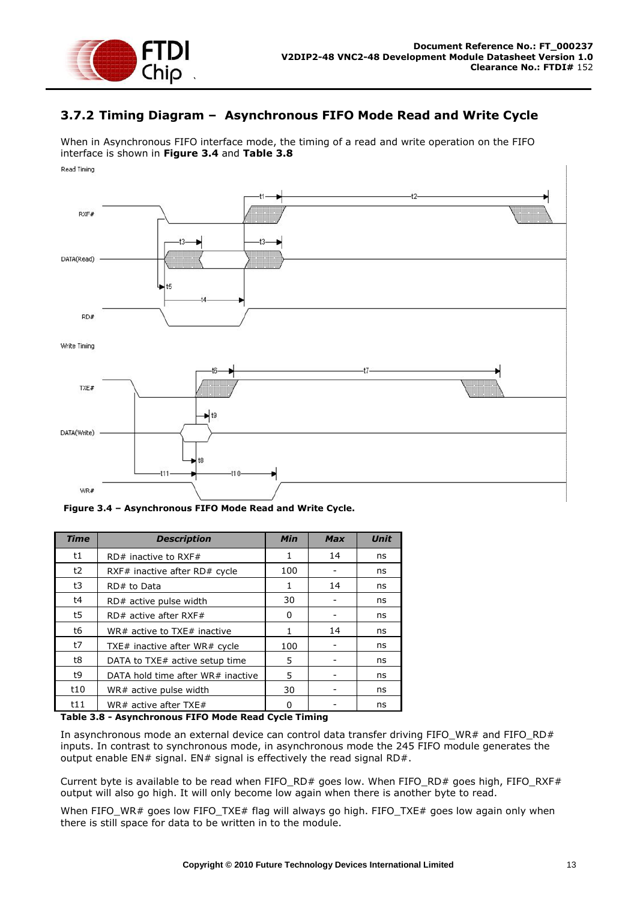

#### <span id="page-13-0"></span>**3.7.2 Timing Diagram – Asynchronous FIFO Mode Read and Write Cycle**

When in Asynchronous FIFO interface mode, the timing of a read and write operation on the FIFO interface is shown in **[Figure 3.4](#page-13-1)** and **[Table 3.8](#page-13-2)** Read Timing



<span id="page-13-1"></span>**Figure 3.4 – Asynchronous FIFO Mode Read and Write Cycle.**

| <b>Time</b> | <b>Description</b>                | <b>Min</b> | <b>Max</b> | <b>Unit</b> |
|-------------|-----------------------------------|------------|------------|-------------|
| t1          | $RD#$ inactive to RXF#            | 1          | 14         | ns          |
| t2          | RXF# inactive after $RD#$ cycle   | 100        |            | ns          |
| t3          | RD# to Data                       | 1          | 14         | ns          |
| t4          | RD# active pulse width            | 30         |            | ns          |
| t5          | $RD#$ active after RXF#           | 0          |            | ns          |
| t6          | WR# active to TXE# inactive       | 1          | 14         | ns          |
| t7          | TXE# inactive after WR# cycle     | 100        |            | ns          |
| t8          | DATA to TXE# active setup time    | 5          |            | ns          |
| t9          | DATA hold time after WR# inactive | 5          |            | ns          |
| t10         | WR# active pulse width            | 30         |            | ns          |
| t11         | WR# active after TXE#             | ŋ          |            | ns          |

#### <span id="page-13-2"></span>**Table 3.8 - Asynchronous FIFO Mode Read Cycle Timing**

In asynchronous mode an external device can control data transfer driving FIFO\_WR# and FIFO\_RD# inputs. In contrast to synchronous mode, in asynchronous mode the 245 FIFO module generates the output enable EN# signal. EN# signal is effectively the read signal RD#.

Current byte is available to be read when FIFO\_RD# goes low. When FIFO\_RD# goes high, FIFO\_RXF# output will also go high. It will only become low again when there is another byte to read.

When FIFO\_WR# goes low FIFO\_TXE# flag will always go high. FIFO\_TXE# goes low again only when there is still space for data to be written in to the module.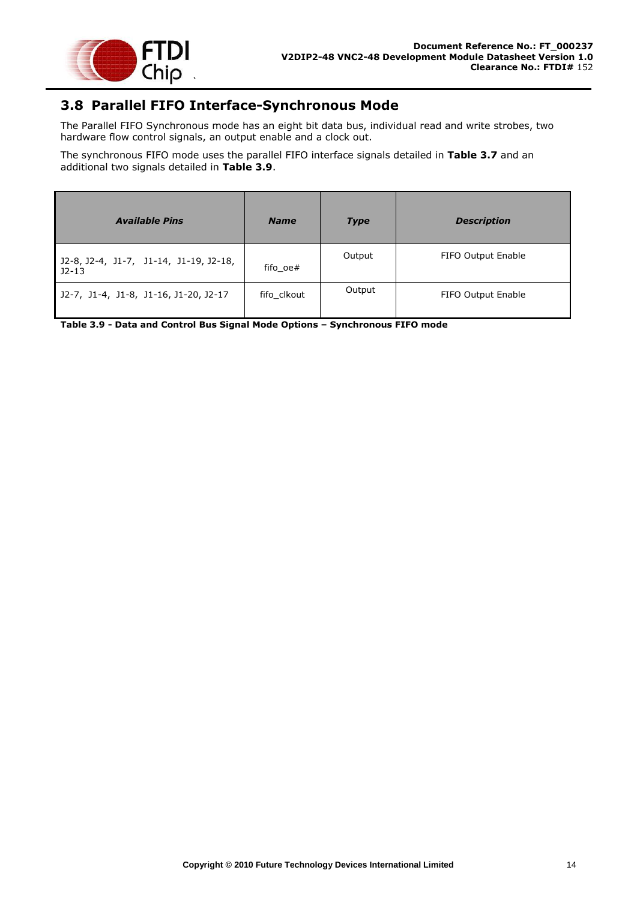

# <span id="page-14-0"></span>**3.8 Parallel FIFO Interface-Synchronous Mode**

The Parallel FIFO Synchronous mode has an eight bit data bus, individual read and write strobes, two hardware flow control signals, an output enable and a clock out.

The synchronous FIFO mode uses the parallel FIFO interface signals detailed in **[Table 3.7](#page-12-2)** and an additional two signals detailed in **[Table 3.9](#page-14-1)**.

| <b>Available Pins</b>                             | <b>Name</b> | <b>Type</b> | <b>Description</b> |
|---------------------------------------------------|-------------|-------------|--------------------|
| J2-8, J2-4, J1-7, J1-14, J1-19, J2-18,<br>$J2-13$ | fifo oe#    | Output      | FIFO Output Enable |
| J2-7, J1-4, J1-8, J1-16, J1-20, J2-17             | fifo clkout | Output      | FIFO Output Enable |

<span id="page-14-1"></span>**Table 3.9 - Data and Control Bus Signal Mode Options – Synchronous FIFO mode**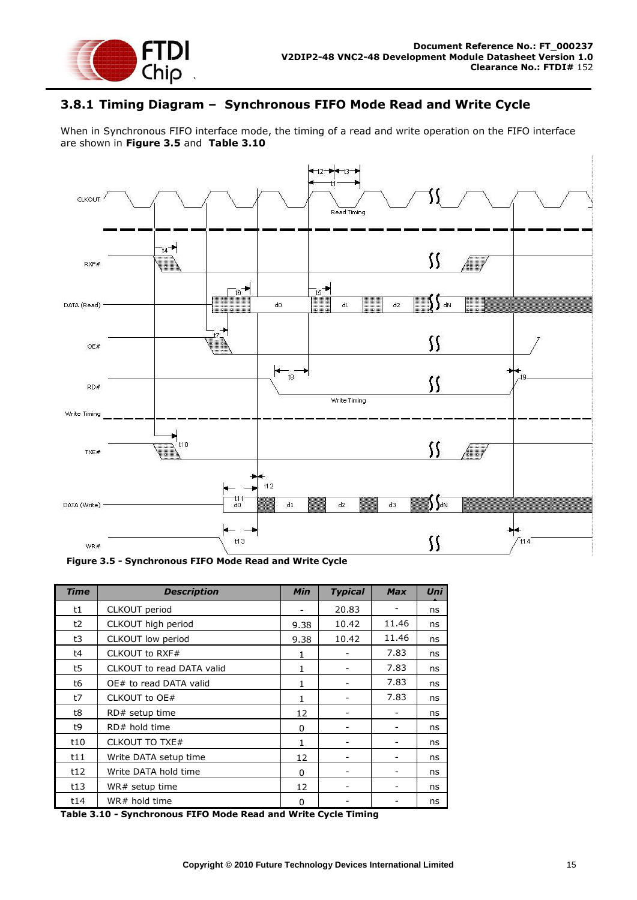

#### <span id="page-15-0"></span>**3.8.1 Timing Diagram – Synchronous FIFO Mode Read and Write Cycle**

When in Synchronous FIFO interface mode, the timing of a read and write operation on the FIFO interface are shown in **[Figure 3.5](#page-15-1)** and **[Table 3.10](#page-15-2)**



<span id="page-15-1"></span>**Figure 3.5 - Synchronous FIFO Mode Read and Write Cycle**

| <b>Time</b> | <b>Description</b>        | <b>Min</b>   | <b>Typical</b> | <b>Max</b> | Uni |
|-------------|---------------------------|--------------|----------------|------------|-----|
| t1          | CLKOUT period             |              | 20.83          |            | ns  |
| t2          | CLKOUT high period        | 9.38         | 10.42          | 11.46      | ns  |
| t3          | CLKOUT low period         | 9.38         | 10.42          | 11.46      | ns  |
| t4          | CLKOUT to RXF#            | 1            |                | 7.83       | ns  |
| t5          | CLKOUT to read DATA valid | $\mathbf{1}$ |                | 7.83       | ns  |
| t6          | OE# to read DATA valid    | 1            |                | 7.83       | ns  |
| t7          | CLKOUT to OE#             | 1            |                | 7.83       | ns  |
| t8          | RD# setup time            | 12           |                |            | ns  |
| t9          | RD# hold time             | 0            |                |            | ns  |
| t10         | <b>CLKOUT TO TXE#</b>     | 1            |                |            | ns  |
| t11         | Write DATA setup time     | 12           |                |            | ns  |
| t12         | Write DATA hold time      | $\Omega$     |                |            | ns  |
| t13         | WR# setup time            | 12           |                |            | ns  |
| t14         | WR# hold time             | 0            |                |            | ns  |

<span id="page-15-2"></span>**Table 3.10 - Synchronous FIFO Mode Read and Write Cycle Timing**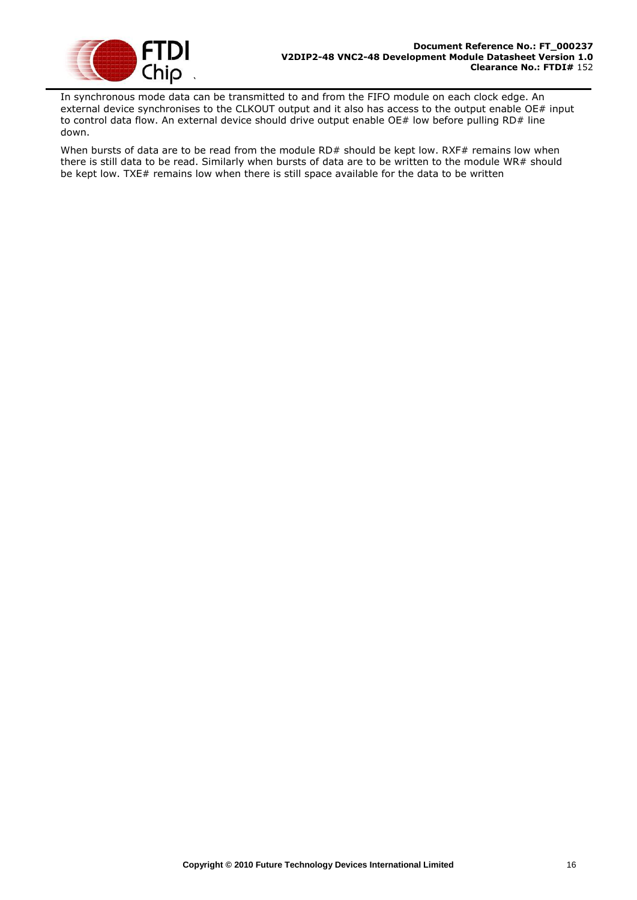

In synchronous mode data can be transmitted to and from the FIFO module on each clock edge. An external device synchronises to the CLKOUT output and it also has access to the output enable OE# input to control data flow. An external device should drive output enable OE# low before pulling RD# line down.

When bursts of data are to be read from the module RD# should be kept low. RXF# remains low when there is still data to be read. Similarly when bursts of data are to be written to the module WR# should be kept low. TXE# remains low when there is still space available for the data to be written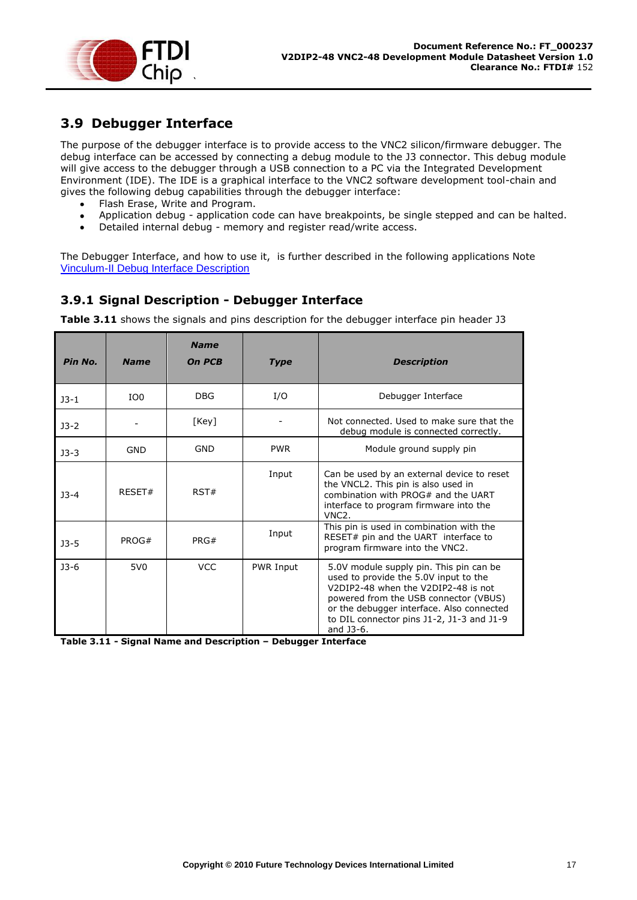

## <span id="page-17-0"></span>**3.9 Debugger Interface**

The purpose of the debugger interface is to provide access to the VNC2 silicon/firmware debugger. The debug interface can be accessed by connecting a debug module to the J3 connector. This debug module will give access to the debugger through a USB connection to a PC via the Integrated Development Environment (IDE). The IDE is a graphical interface to the VNC2 software development tool-chain and gives the following debug capabilities through the debugger interface:

- Flash Erase, Write and Program.
- Application debug application code can have breakpoints, be single stepped and can be halted.  $\bullet$
- Detailed internal debug memory and register read/write access.  $\bullet$

The Debugger Interface, and how to use it, is further described in the following applications Note [Vinculum-II Debug Interface Description](http://www.ftdichip.com/Documents/AppNotes/AN_138_Vinculum-II_Debug_Interface_Description.pdf)

#### <span id="page-17-1"></span>**3.9.1 Signal Description - Debugger Interface**

**[Table 3.11](#page-17-2)** shows the signals and pins description for the debugger interface pin header J3

| Pin No. | <b>Name</b>     | <b>Name</b><br>On PCB | <b>Type</b>      | <b>Description</b>                                                                                                                                                                                                                                                      |
|---------|-----------------|-----------------------|------------------|-------------------------------------------------------------------------------------------------------------------------------------------------------------------------------------------------------------------------------------------------------------------------|
| $J3-1$  | IO <sub>0</sub> | <b>DBG</b>            | I/O              | Debugger Interface                                                                                                                                                                                                                                                      |
| $J3-2$  |                 | [Key]                 |                  | Not connected. Used to make sure that the<br>debug module is connected correctly.                                                                                                                                                                                       |
| $J3-3$  | <b>GND</b>      | <b>GND</b>            | <b>PWR</b>       | Module ground supply pin                                                                                                                                                                                                                                                |
| $3 - 4$ | RFSFT#          | RST#                  | Input            | Can be used by an external device to reset<br>the VNCL2. This pin is also used in<br>combination with $PROG#$ and the UART<br>interface to program firmware into the<br>VNC <sub>2</sub> .                                                                              |
| $J3-5$  | PROG#           | PRG#                  | Input            | This pin is used in combination with the<br>RESET# pin and the UART interface to<br>program firmware into the VNC2.                                                                                                                                                     |
| $J3-6$  | 5V <sub>0</sub> | <b>VCC</b>            | <b>PWR Input</b> | 5.0V module supply pin. This pin can be<br>used to provide the 5.0V input to the<br>V2DIP2-48 when the V2DIP2-48 is not<br>powered from the USB connector (VBUS)<br>or the debugger interface. Also connected<br>to DIL connector pins J1-2, J1-3 and J1-9<br>and J3-6. |

<span id="page-17-2"></span>**Table 3.11 - Signal Name and Description – Debugger Interface**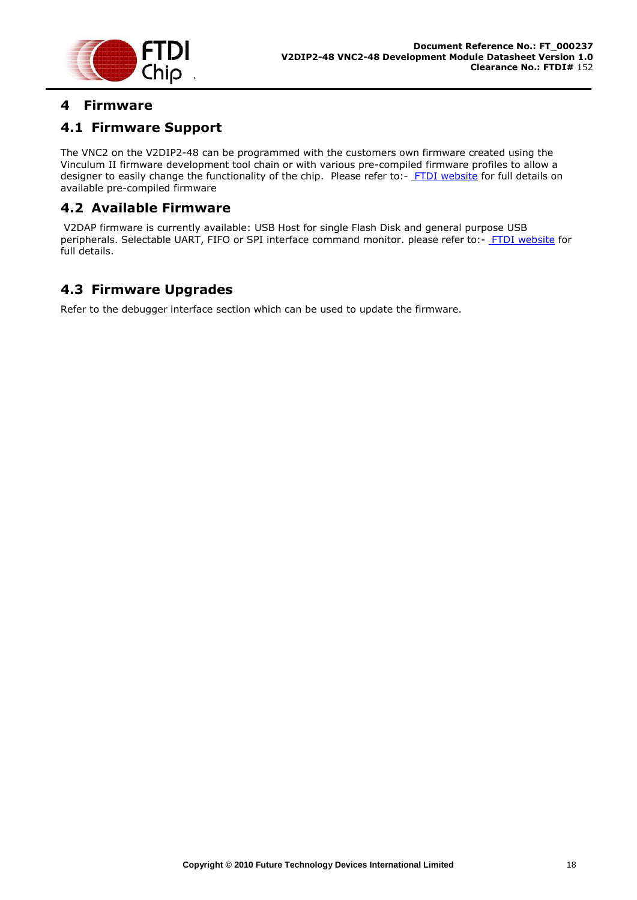

## <span id="page-18-0"></span>**4 Firmware**

## <span id="page-18-1"></span>**4.1 Firmware Support**

The VNC2 on the V2DIP2-48 can be programmed with the customers own firmware created using the Vinculum II firmware development tool chain or with various pre-compiled firmware profiles to allow a designer to easily change the functionality of the chip. Please refer to:- [FTDI website](http://www.ftdichip.com/) for full details on available pre-compiled firmware

## <span id="page-18-2"></span>**4.2 Available Firmware**

V2DAP firmware is currently available: USB Host for single Flash Disk and general purpose USB peripherals. Selectable UART, FIFO or SPI interface command monitor. please refer to:- [FTDI website](http://www.ftdichip.com/) for full details.

# <span id="page-18-3"></span>**4.3 Firmware Upgrades**

Refer to the debugger interface section which can be used to update the firmware.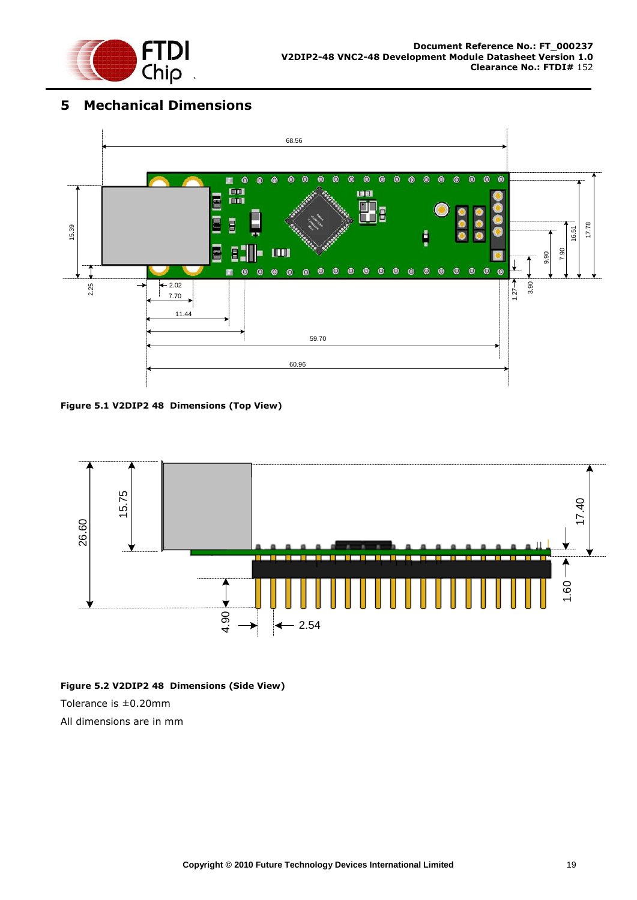

## <span id="page-19-0"></span>**5 Mechanical Dimensions**



<span id="page-19-1"></span>**Figure 5.1 V2DIP2 48 Dimensions (Top View)**



#### <span id="page-19-2"></span>**Figure 5.2 V2DIP2 48 Dimensions (Side View)**

Tolerance is ±0.20mm

All dimensions are in mm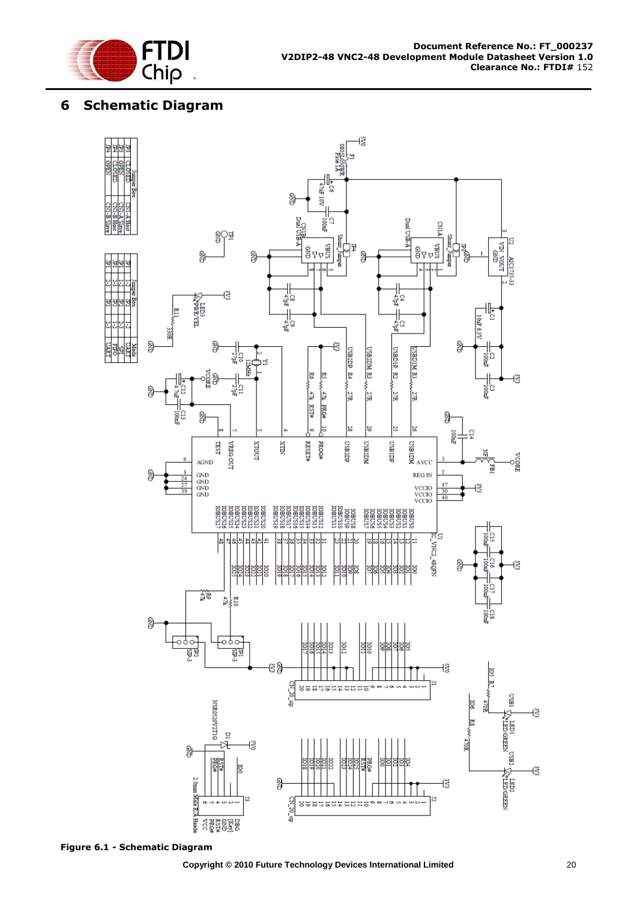

## <span id="page-20-0"></span>**6 Schematic Diagram**



<span id="page-20-1"></span>**Figure 6.1 - Schematic Diagram**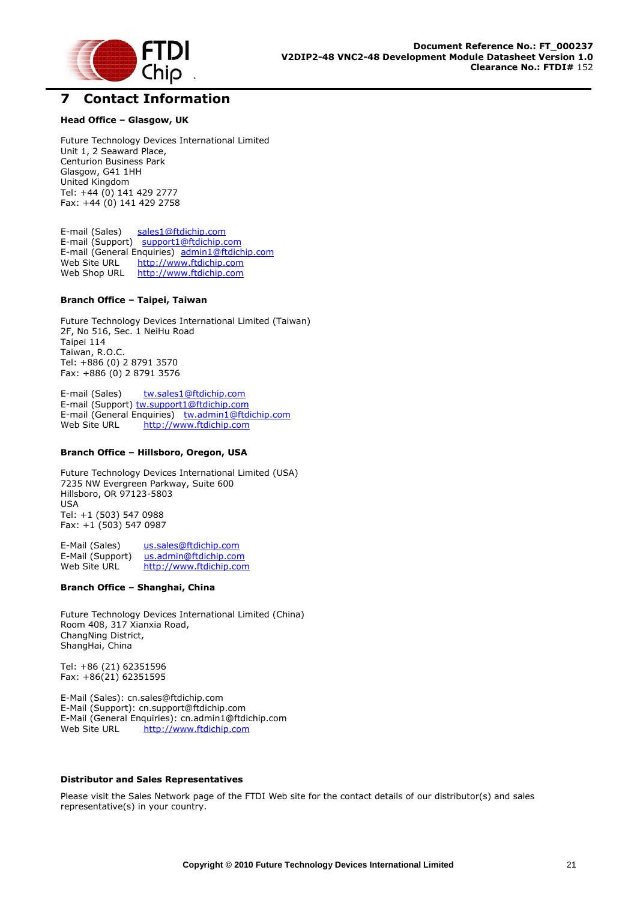

#### <span id="page-21-0"></span>**7 Contact Information**

#### **Head Office – Glasgow, UK**

Future Technology Devices International Limited Unit 1, 2 Seaward Place, Centurion Business Park Glasgow, G41 1HH United Kingdom Tel: +44 (0) 141 429 2777 Fax: +44 (0) 141 429 2758

E-mail (Sales) [sales1@ftdichip.com](mailto:sales1@ftdichip.com) E-mail (Support) [support1@ftdichip.com](mailto:support1@ftdichip.com) E-mail (General Enquiries) [admin1@ftdichip.com](mailto:admin1@ftdichip.com) Web Site URL [http://www.ftdichip.com](http://www.ftdichip.com/) Web Shop URL [http://www.ftdichip.com](http://www.ftdichip.com/)

#### **Branch Office – Taipei, Taiwan**

Future Technology Devices International Limited (Taiwan) 2F, No 516, Sec. 1 NeiHu Road Taipei 114 Taiwan, R.O.C. Tel: +886 (0) 2 8791 3570 Fax: +886 (0) 2 8791 3576

E-mail (Sales) [tw.sales1@ftdichip.com](mailto:tw.sales1@ftdichip.com) E-mail (Support) [tw.support1@ftdichip.com](mailto:tw.support1@ftdichip.com) E-mail (General Enquiries) [tw.admin1@ftdichip.com](mailto:tw.admin1@ftdichip.com) Web Site URL [http://www.ftdichip.com](http://www.ftdichip.com/)

#### **Branch Office – Hillsboro, Oregon, USA**

Future Technology Devices International Limited (USA) 7235 NW Evergreen Parkway, Suite 600 Hillsboro, OR 97123-5803 USA Tel: +1 (503) 547 0988 Fax: +1 (503) 547 0987

E-Mail (Sales) [us.sales@ftdichip.com](mailto:us.sales@ftdichip.com)<br>E-Mail (Support) us.admin@ftdichip.com [us.admin@ftdichip.com](mailto:us.admin@ftdichip.com) Web Site URL [http://www.ftdichip.com](http://www.ftdichip.com/)

#### **Branch Office – Shanghai, China**

Future Technology Devices International Limited (China) Room 408, 317 Xianxia Road, ChangNing District, ShangHai, China

Tel: +86 [\(21\) 6](LiveCall:(503)547-0988)2351596 Fax: +8[6\(21\) 6](LiveCall:(503)547-0987)2351595

E-Mail (Sales): [cn.sales@ftdichip.com](mailto:cn.sales@ftdichip.com) E-Mail (Support): c[n.support@ftdichip.](mailto:.support@ftdichip)com E-Mail (General Enquiries): cn[.admin1@ftdichip.com](mailto:admin1@ftdichip.com) Web Site URL [http://www.ftdichip.com](http://www.ftdichip.com/)

#### **Distributor and Sales Representatives**

Please visit the Sales Network page of the FTDI Web site for the contact details of our distributor(s) and sales representative(s) in your country.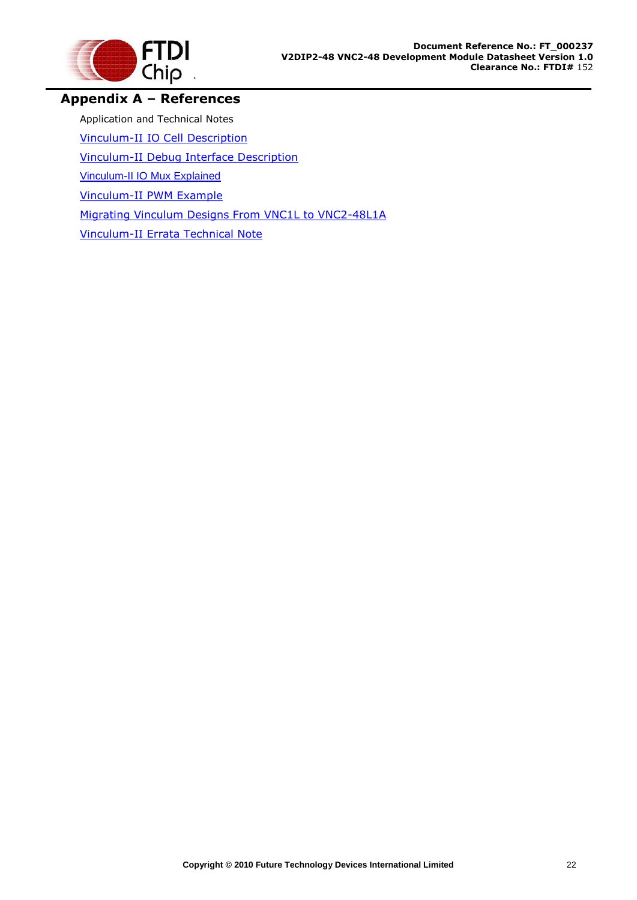

## <span id="page-22-0"></span>**Appendix A – References**

Application and Technical Notes

[Vinculum-II IO Cell](http://www.ftdichip.com/Documents/AppNotes/AN_137_Vinculum-II%20IO_Cell_Description.pdf) Description

[Vinculum-II Debug Interface Description](http://www.ftdichip.com/Documents/AppNotes/AN_138_Vinculum-II_Debug_Interface_Description.pdf)

[Vinculum-II IO Mux Explained](http://www.ftdichip.com/Documents/AppNotes/AN_139_Vinculum-II%20IO_Mux%20Explained.pdf)

[Vinculum-II PWM Example](http://www.ftdichip.com/Documents/AppNotes/AN_140_Vinculum-II_PWM_Example.pdf)

[Migrating Vinculum Designs From VNC1L to VNC2-48L1A](http://www.ftdichip.com/Documents/AppNotes/AN_118_Migrating_Vinculum_Designs_From_VNC1L_to_VNC2-48L1A.pdf)

[Vinculum-II Errata Technical Note](http://www.ftdichip.com/Documents/TechnicalNotes/TN_118_VNC2%20Errata%20Technical%20Note.pdf)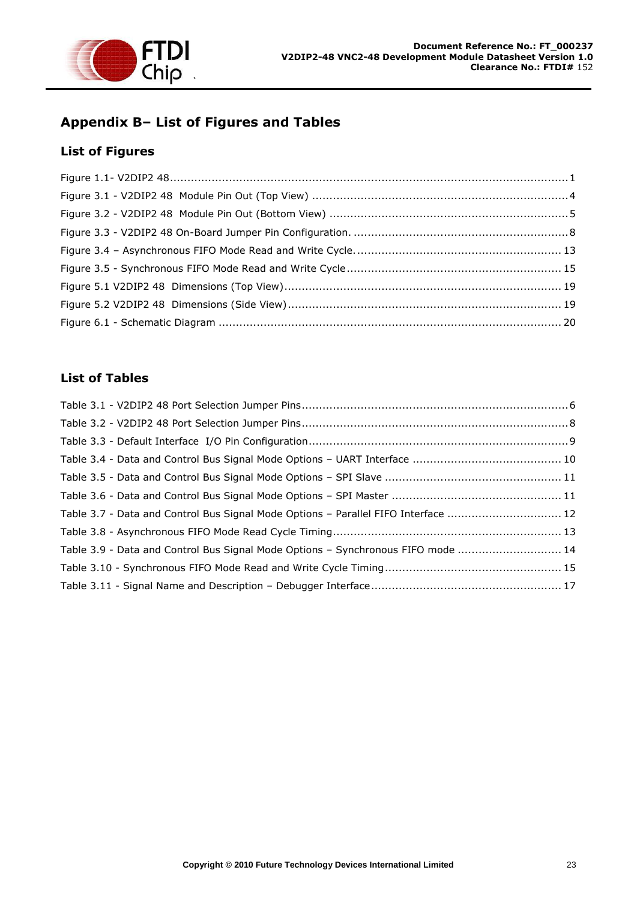

# <span id="page-23-0"></span>**Appendix B– List of Figures and Tables**

#### <span id="page-23-1"></span>**List of Figures**

#### <span id="page-23-2"></span>**List of Tables**

| Table 3.7 - Data and Control Bus Signal Mode Options - Parallel FIFO Interface  12 |  |
|------------------------------------------------------------------------------------|--|
|                                                                                    |  |
| Table 3.9 - Data and Control Bus Signal Mode Options - Synchronous FIFO mode  14   |  |
|                                                                                    |  |
|                                                                                    |  |
|                                                                                    |  |